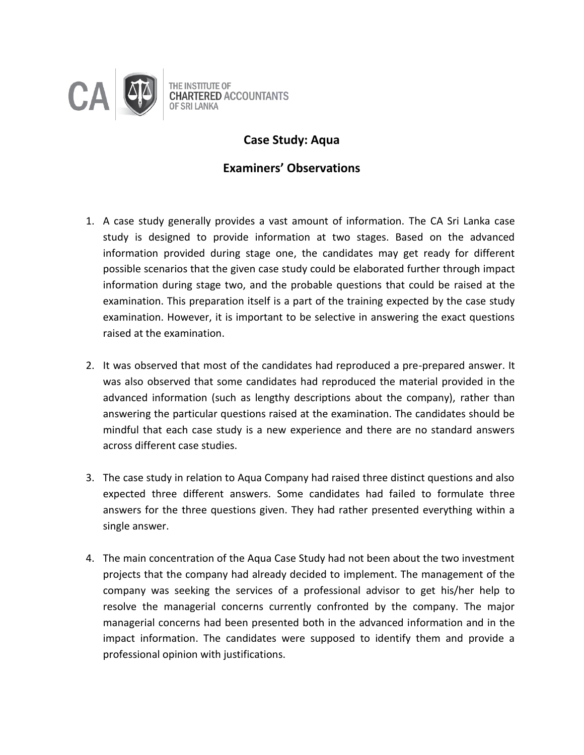

## **Case Study: Aqua**

## **Examiners' Observations**

- 1. A case study generally provides a vast amount of information. The CA Sri Lanka case study is designed to provide information at two stages. Based on the advanced information provided during stage one, the candidates may get ready for different possible scenarios that the given case study could be elaborated further through impact information during stage two, and the probable questions that could be raised at the examination. This preparation itself is a part of the training expected by the case study examination. However, it is important to be selective in answering the exact questions raised at the examination.
- 2. It was observed that most of the candidates had reproduced a pre-prepared answer. It was also observed that some candidates had reproduced the material provided in the advanced information (such as lengthy descriptions about the company), rather than answering the particular questions raised at the examination. The candidates should be mindful that each case study is a new experience and there are no standard answers across different case studies.
- 3. The case study in relation to Aqua Company had raised three distinct questions and also expected three different answers. Some candidates had failed to formulate three answers for the three questions given. They had rather presented everything within a single answer.
- 4. The main concentration of the Aqua Case Study had not been about the two investment projects that the company had already decided to implement. The management of the company was seeking the services of a professional advisor to get his/her help to resolve the managerial concerns currently confronted by the company. The major managerial concerns had been presented both in the advanced information and in the impact information. The candidates were supposed to identify them and provide a professional opinion with justifications.